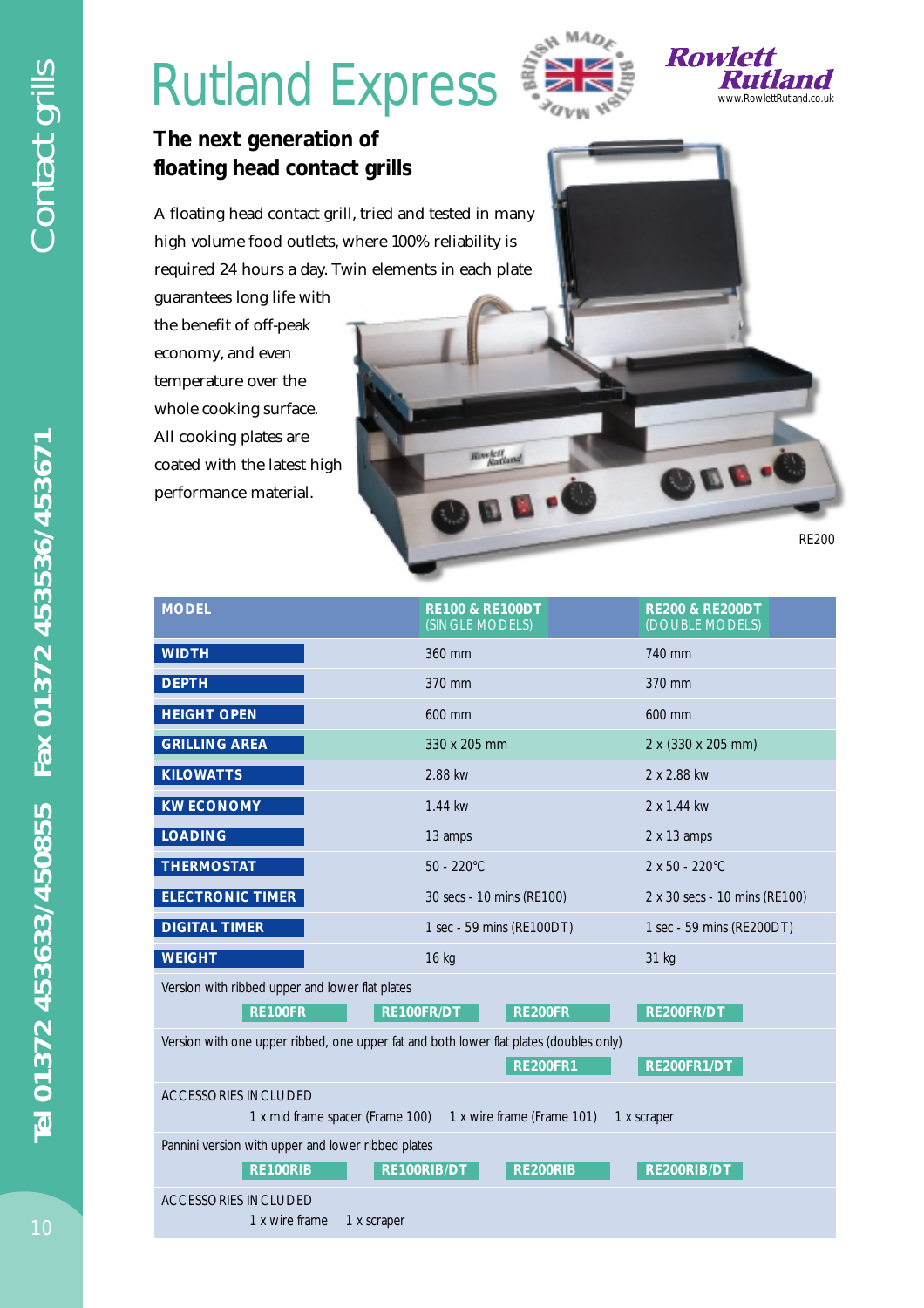## Rutland Express  $\sum_{\text{new}}^{\text{new}}$





EB.

## **The next generation of floating head contact grills**

A floating head contact grill, tried and tested in many high volume food outlets, where 100% reliability is required 24 hours a day. Twin elements in each plate

guarantees long life with the benefit of off-peak economy, and even temperature over the whole cooking surface. All cooking plates are coated with the latest high performance material.

RE200

| <b>MODEL</b>                                                                                                             | <b>RE100 &amp; RE100DT</b><br>(SINGLE MODELS)               | <b>RE200 &amp; RE200DT</b><br>(DOUBLE MODELS) |  |  |
|--------------------------------------------------------------------------------------------------------------------------|-------------------------------------------------------------|-----------------------------------------------|--|--|
| <b>WIDTH</b>                                                                                                             | 360 mm                                                      | 740 mm                                        |  |  |
| <b>DEPTH</b>                                                                                                             | 370 mm                                                      | 370 mm                                        |  |  |
| <b>HEIGHT OPEN</b>                                                                                                       | 600 mm                                                      | 600 mm                                        |  |  |
| <b>GRILLING AREA</b>                                                                                                     | 330 x 205 mm                                                | 2 x (330 x 205 mm)                            |  |  |
| <b>KILOWATTS</b>                                                                                                         | 2.88 kw                                                     | 2 x 2.88 kw                                   |  |  |
| <b>KW ECONOMY</b>                                                                                                        | 1.44 kw                                                     | 2 x 1.44 kw                                   |  |  |
| <b>LOADING</b>                                                                                                           | 13 amps                                                     | $2 \times 13$ amps                            |  |  |
| <b>THERMOSTAT</b>                                                                                                        | $50 - 220^{\circ}$ C                                        | $2 \times 50 - 220^{\circ}$ C                 |  |  |
| <b>ELECTRONIC TIMER</b>                                                                                                  | 30 secs - 10 mins (RE100)                                   | 2 x 30 secs - 10 mins (RE100)                 |  |  |
| <b>DIGITAL TIMER</b>                                                                                                     | 1 sec - 59 mins (RE100DT)                                   | 1 sec - 59 mins (RE200DT)                     |  |  |
| <b>WEIGHT</b>                                                                                                            | 16 kg                                                       | 31 kg                                         |  |  |
| Version with ribbed upper and lower flat plates<br><b>RE200FR</b><br><b>RE100FR</b><br>RE100FR/DT<br>RE200FR/DT          |                                                             |                                               |  |  |
| Version with one upper ribbed, one upper fat and both lower flat plates (doubles only)<br><b>RE200FR1</b><br>RE200FR1/DT |                                                             |                                               |  |  |
| ACCESSORIES INCLUDED                                                                                                     | 1 x mid frame spacer (Frame 100) 1 x wire frame (Frame 101) | 1 x scraper                                   |  |  |
| Pannini version with upper and lower ribbed plates<br><b>RE100RIB</b>                                                    | RE100RIB/DT<br><b>RE200RIB</b>                              | RE200RIB/DT                                   |  |  |
| <b>ACCESSORIES INCLUDED</b><br>1 x wire frame<br>1 x scraper                                                             |                                                             |                                               |  |  |

**Rowlett**